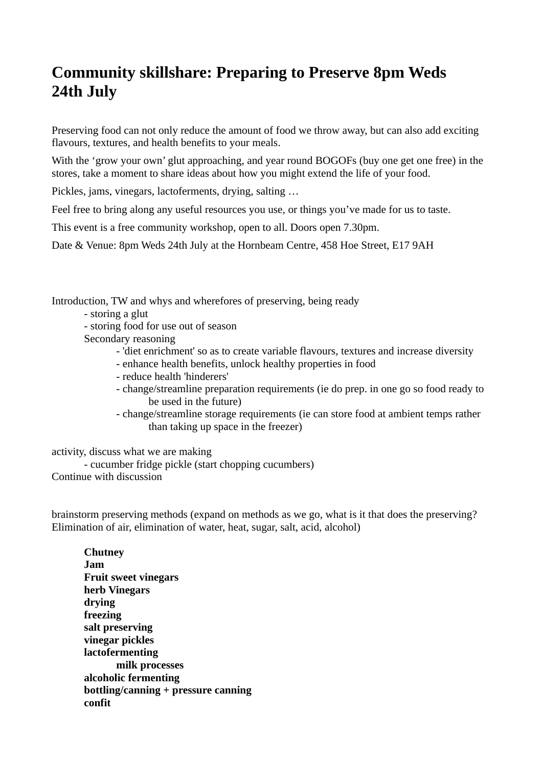# **Community skillshare: Preparing to Preserve 8pm Weds 24th July**

Preserving food can not only reduce the amount of food we throw away, but can also add exciting flavours, textures, and health benefits to your meals.

With the 'grow your own' glut approaching, and year round BOGOFs (buy one get one free) in the stores, take a moment to share ideas about how you might extend the life of your food.

Pickles, jams, vinegars, lactoferments, drying, salting …

Feel free to bring along any useful resources you use, or things you've made for us to taste.

This event is a free community workshop, open to all. Doors open 7.30pm.

Date & Venue: 8pm Weds 24th July at the Hornbeam Centre, 458 Hoe Street, E17 9AH

Introduction, TW and whys and wherefores of preserving, being ready

- storing a glut
- storing food for use out of season
- Secondary reasoning
	- 'diet enrichment' so as to create variable flavours, textures and increase diversity
	- enhance health benefits, unlock healthy properties in food
	- reduce health 'hinderers'
	- change/streamline preparation requirements (ie do prep. in one go so food ready to be used in the future)
	- change/streamline storage requirements (ie can store food at ambient temps rather than taking up space in the freezer)

activity, discuss what we are making

- cucumber fridge pickle (start chopping cucumbers) Continue with discussion

brainstorm preserving methods (expand on methods as we go, what is it that does the preserving? Elimination of air, elimination of water, heat, sugar, salt, acid, alcohol)

**Chutney Jam Fruit sweet vinegars herb Vinegars drying freezing salt preserving vinegar pickles lactofermenting milk processes alcoholic fermenting bottling/canning + pressure canning confit**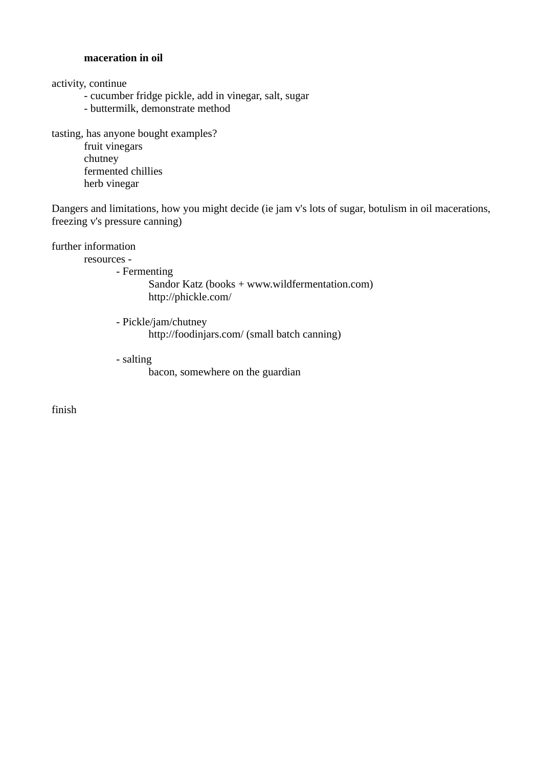#### **maceration in oil**

activity, continue

- cucumber fridge pickle, add in vinegar, salt, sugar
- buttermilk, demonstrate method

tasting, has anyone bought examples? fruit vinegars chutney fermented chillies

herb vinegar

Dangers and limitations, how you might decide (ie jam v's lots of sugar, botulism in oil macerations, freezing v's pressure canning)

### further information

resources -

- Fermenting

Sandor Katz (books + www.wildfermentation.com) http://phickle.com/

- Pickle/jam/chutney http://foodinjars.com/ (small batch canning)
- salting

bacon, somewhere on the guardian

finish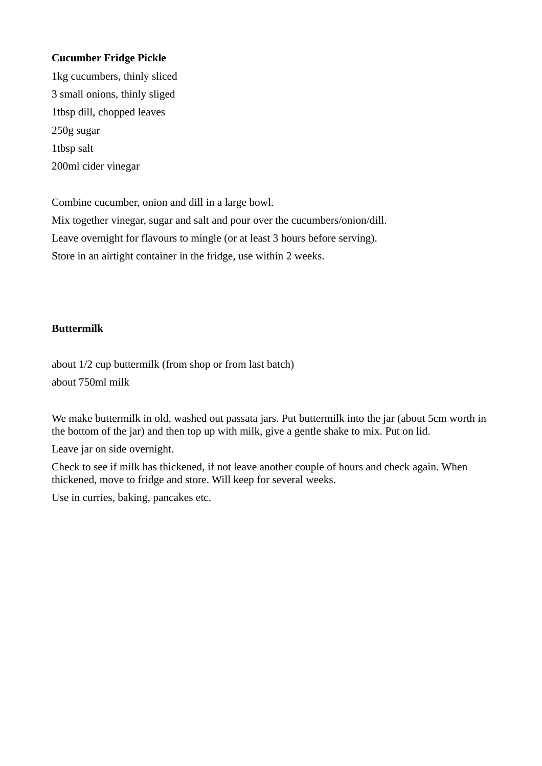## **Cucumber Fridge Pickle**

1kg cucumbers, thinly sliced 3 small onions, thinly sliged 1tbsp dill, chopped leaves 250g sugar 1tbsp salt 200ml cider vinegar

Combine cucumber, onion and dill in a large bowl.

Mix together vinegar, sugar and salt and pour over the cucumbers/onion/dill.

Leave overnight for flavours to mingle (or at least 3 hours before serving).

Store in an airtight container in the fridge, use within 2 weeks.

# **Buttermilk**

about 1/2 cup buttermilk (from shop or from last batch) about 750ml milk

We make buttermilk in old, washed out passata jars. Put buttermilk into the jar (about 5cm worth in the bottom of the jar) and then top up with milk, give a gentle shake to mix. Put on lid.

Leave jar on side overnight.

Check to see if milk has thickened, if not leave another couple of hours and check again. When thickened, move to fridge and store. Will keep for several weeks.

Use in curries, baking, pancakes etc.